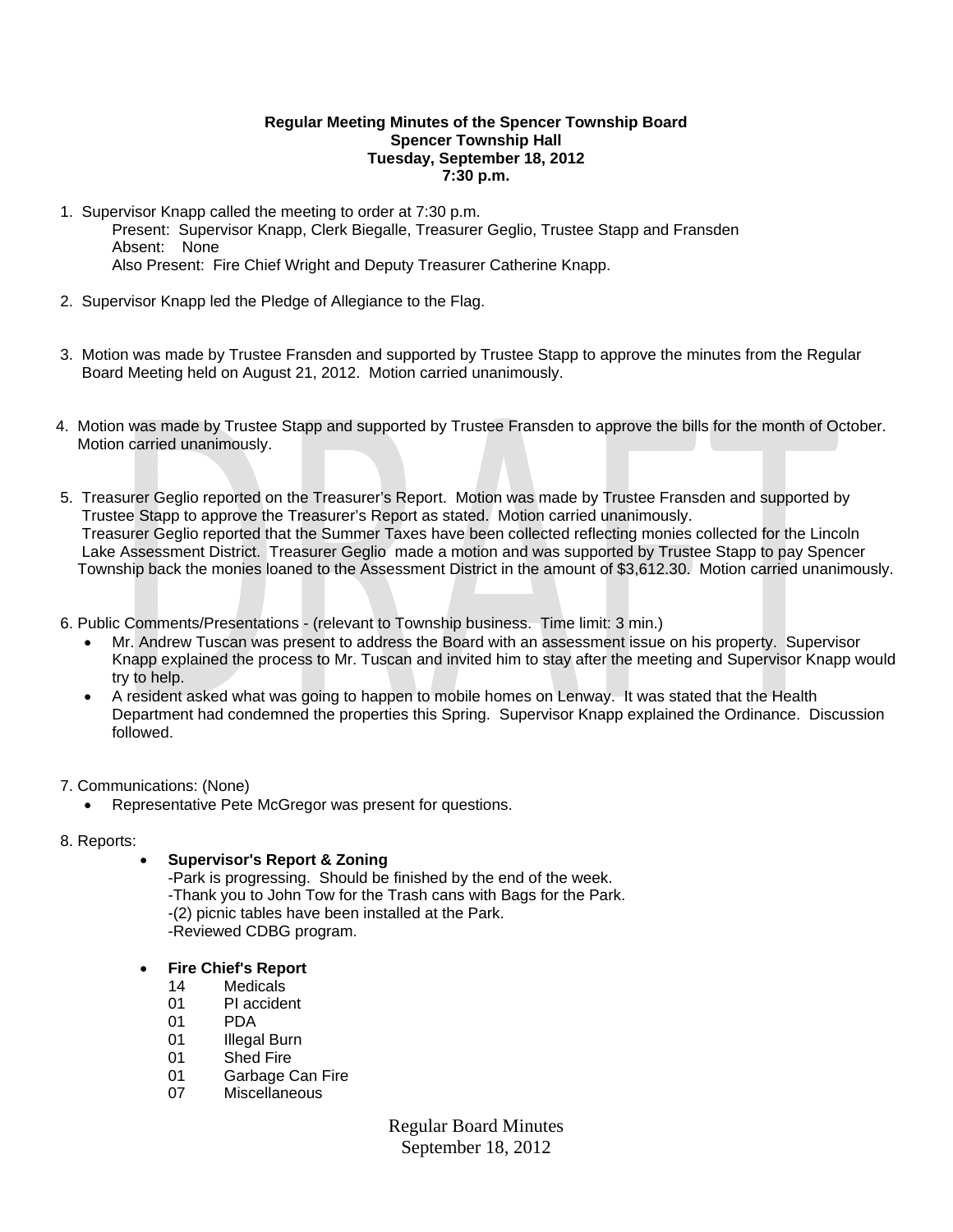### **Regular Meeting Minutes of the Spencer Township Board Spencer Township Hall Tuesday, September 18, 2012 7:30 p.m.**

- 1. Supervisor Knapp called the meeting to order at 7:30 p.m. Present: Supervisor Knapp, Clerk Biegalle, Treasurer Geglio, Trustee Stapp and Fransden Absent: None Also Present: Fire Chief Wright and Deputy Treasurer Catherine Knapp.
- 2. Supervisor Knapp led the Pledge of Allegiance to the Flag.
- 3. Motion was made by Trustee Fransden and supported by Trustee Stapp to approve the minutes from the Regular Board Meeting held on August 21, 2012. Motion carried unanimously.
- 4. Motion was made by Trustee Stapp and supported by Trustee Fransden to approve the bills for the month of October. Motion carried unanimously.
- 5. Treasurer Geglio reported on the Treasurer's Report. Motion was made by Trustee Fransden and supported by Trustee Stapp to approve the Treasurer's Report as stated. Motion carried unanimously. Treasurer Geglio reported that the Summer Taxes have been collected reflecting monies collected for the Lincoln Lake Assessment District. Treasurer Geglio made a motion and was supported by Trustee Stapp to pay Spencer Township back the monies loaned to the Assessment District in the amount of \$3,612.30. Motion carried unanimously.
- 6. Public Comments/Presentations (relevant to Township business. Time limit: 3 min.)
	- Mr. Andrew Tuscan was present to address the Board with an assessment issue on his property. Supervisor Knapp explained the process to Mr. Tuscan and invited him to stay after the meeting and Supervisor Knapp would try to help.
	- A resident asked what was going to happen to mobile homes on Lenway. It was stated that the Health Department had condemned the properties this Spring. Supervisor Knapp explained the Ordinance. Discussion followed.
- 7. Communications: (None)
	- Representative Pete McGregor was present for questions.
- 8. Reports:

# **Supervisor's Report & Zoning**

-Park is progressing. Should be finished by the end of the week. -Thank you to John Tow for the Trash cans with Bags for the Park. -(2) picnic tables have been installed at the Park. -Reviewed CDBG program.

- **Fire Chief's Report** 
	- 14 Medicals
	- 01 PI accident
	- 01 PDA
	- 01 **Illegal Burn**
	- 01 Shed Fire
	- 01 Garbage Can Fire
	- 07 Miscellaneous

Regular Board Minutes September 18, 2012